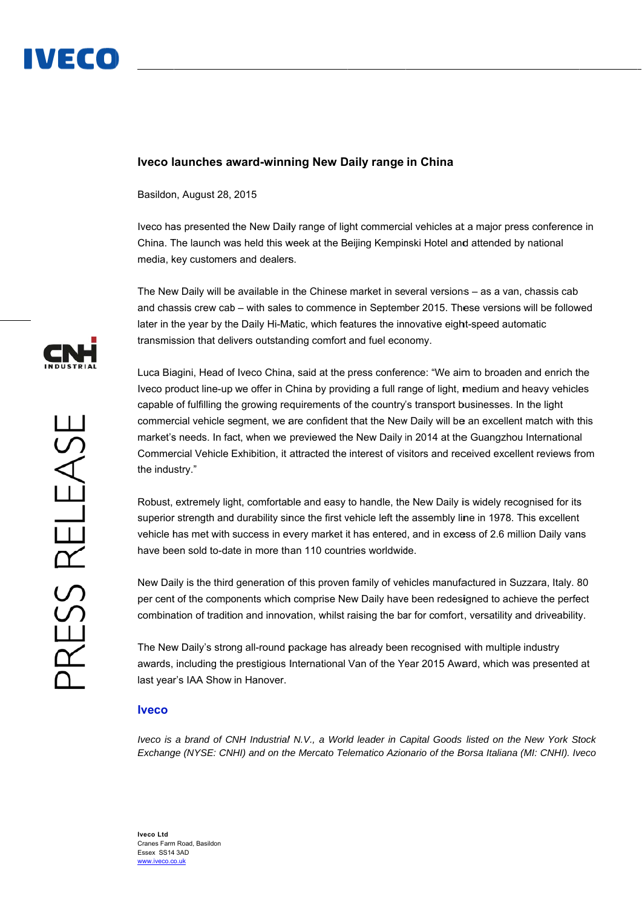

## **Iveco l aunches a award-winn ning New D Daily range in China**

Basildon n, August 28, 2015

Iveco has presented the New Daily range of light commercial vehicles at a major press conference in China. The launch was held this week at the Beijing Kempinski Hotel and attended by national media, key customers and dealers.

The New Daily will be available in the Chinese market in several versions - as a van, chassis cab and chassis crew cab – with sales to commence in September 2015. These versions will be followed later in the year by the Daily Hi-Matic, which features the innovative eight-speed automatic transmission that delivers outstanding comfort and fuel economy.

Luca Biagini, Head of Iveco China, said at the press conference: "We aim to broaden and enrich the Iveco product line-up we offer in China by providing a full range of light, medium and heavy vehicles capable of fulfilling the growing requirements of the country's transport businesses. In the light commercial vehicle segment, we are confident that the New Daily will be an excellent match with this market's needs. In fact, when we previewed the New Daily in 2014 at the Guangzhou International Commercial Vehicle Exhibition, it attracted the interest of visitors and received excellent reviews from the indu stry."

Robust, extremely light, comfortable and easy to handle, the New Daily is widely recognised for its superior strength and durability since the first vehicle left the assembly line in 1978. This excellent Robust, extremely light, comfortable and easy to handle, the New Daily is widely recognised for its<br>superior strength and durability since the first vehicle left the assembly line in 1978. This excellent<br>vehicle has met wi have been sold to-date in more than 110 countries worldwide.

New Daily is the third generation of this proven family of vehicles manufactured in Suzzara, Italy. 80 per cent of the components which comprise New Daily have been redesigned to achieve the perfect combination of tradition and innovation, whilst raising the bar for comfort, versatility and driveability.

The New Daily's strong all-round package has already been recognised with multiple industry awards, including the prestigious International Van of the Year 2015 Award, which was presented at last year's IAA Show in Hanover.

## **Iveco**

*lveco is a brand of CNH Industrial N.V., a World leader in Capital Goods listed on the New York Stock Exchange (NYSE: CNHI) and on the Mercato Telematico Azionario of the Borsa Italiana (MI: CNHI). Iveco*